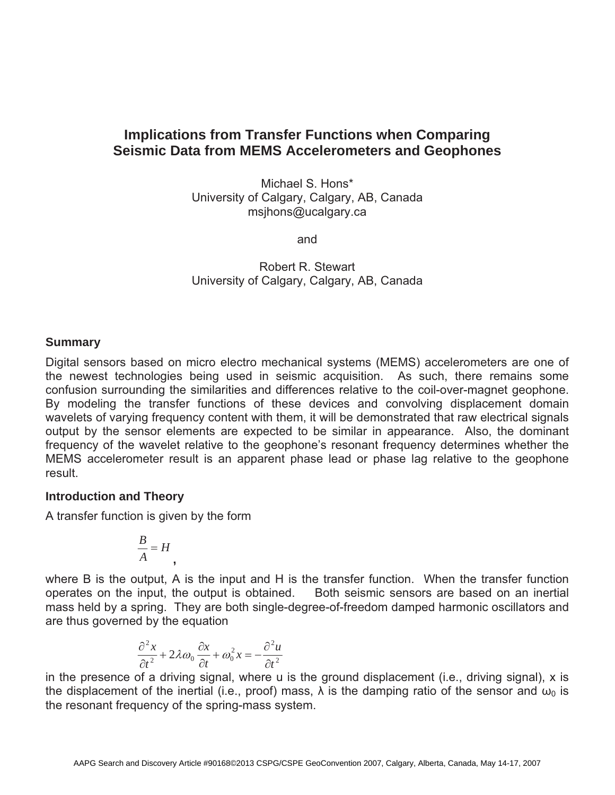# **Implications from Transfer Functions when Comparing Seismic Data from MEMS Accelerometers and Geophones**

Michael S. Hons\* University of Calgary, Calgary, AB, Canada msjhons@ucalgary.ca

and

Robert R. Stewart University of Calgary, Calgary, AB, Canada

## **Summary**

Digital sensors based on micro electro mechanical systems (MEMS) accelerometers are one of the newest technologies being used in seismic acquisition. As such, there remains some confusion surrounding the similarities and differences relative to the coil-over-magnet geophone. By modeling the transfer functions of these devices and convolving displacement domain wavelets of varying frequency content with them, it will be demonstrated that raw electrical signals output by the sensor elements are expected to be similar in appearance. Also, the dominant frequency of the wavelet relative to the geophone's resonant frequency determines whether the MEMS accelerometer result is an apparent phase lead or phase lag relative to the geophone result.

## **Introduction and Theory**

A transfer function is given by the form

$$
\frac{B}{A} = H
$$

**,**

where B is the output, A is the input and H is the transfer function. When the transfer function operates on the input, the output is obtained. Both seismic sensors are based on an inertial mass held by a spring. They are both single-degree-of-freedom damped harmonic oscillators and are thus governed by the equation

$$
\frac{\partial^2 x}{\partial t^2} + 2\lambda \omega_0 \frac{\partial x}{\partial t} + \omega_0^2 x = -\frac{\partial^2 u}{\partial t^2}
$$

in the presence of a driving signal, where u is the ground displacement (i.e., driving signal), x is the displacement of the inertial (i.e., proof) mass,  $\lambda$  is the damping ratio of the sensor and  $\omega_0$  is the resonant frequency of the spring-mass system.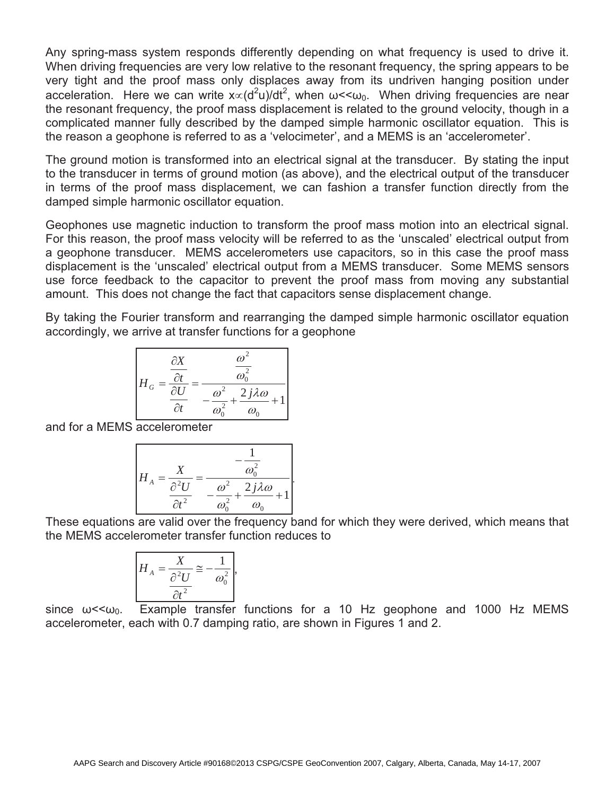Any spring-mass system responds differently depending on what frequency is used to drive it. When driving frequencies are very low relative to the resonant frequency, the spring appears to be very tight and the proof mass only displaces away from its undriven hanging position under acceleration. Here we can write  $x \propto (d^2u)/dt^2$ , when  $\omega < \omega_0$ . When driving frequencies are near the resonant frequency, the proof mass displacement is related to the ground velocity, though in a complicated manner fully described by the damped simple harmonic oscillator equation. This is the reason a geophone is referred to as a 'velocimeter', and a MEMS is an 'accelerometer'.

The ground motion is transformed into an electrical signal at the transducer. By stating the input to the transducer in terms of ground motion (as above), and the electrical output of the transducer in terms of the proof mass displacement, we can fashion a transfer function directly from the damped simple harmonic oscillator equation.

Geophones use magnetic induction to transform the proof mass motion into an electrical signal. For this reason, the proof mass velocity will be referred to as the 'unscaled' electrical output from a geophone transducer. MEMS accelerometers use capacitors, so in this case the proof mass displacement is the 'unscaled' electrical output from a MEMS transducer. Some MEMS sensors use force feedback to the capacitor to prevent the proof mass from moving any substantial amount. This does not change the fact that capacitors sense displacement change.

By taking the Fourier transform and rearranging the damped simple harmonic oscillator equation accordingly, we arrive at transfer functions for a geophone

$$
H_G = \frac{\frac{\partial X}{\partial t}}{\frac{\partial U}{\partial t}} = \frac{\frac{\omega^2}{\omega_0^2}}{-\frac{\omega^2}{\omega_0^2} + \frac{2j\lambda\omega}{\omega_0} + 1}
$$

and for a MEMS accelerometer

$$
H_A = \frac{X}{\frac{\partial^2 U}{\partial t^2}} = \frac{-\frac{1}{\omega_0^2}}{-\frac{\omega^2}{\omega_0^2} + \frac{2j\lambda\omega}{\omega_0} + 1}.
$$

These equations are valid over the frequency band for which they were derived, which means that the MEMS accelerometer transfer function reduces to

$$
H_A = \frac{X}{\frac{\partial^2 U}{\partial t^2}} \approx -\frac{1}{\omega_0^2},
$$

since  $\omega < \omega_0$ . Example transfer functions for a 10 Hz geophone and 1000 Hz MEMS accelerometer, each with 0.7 damping ratio, are shown in Figures 1 and 2.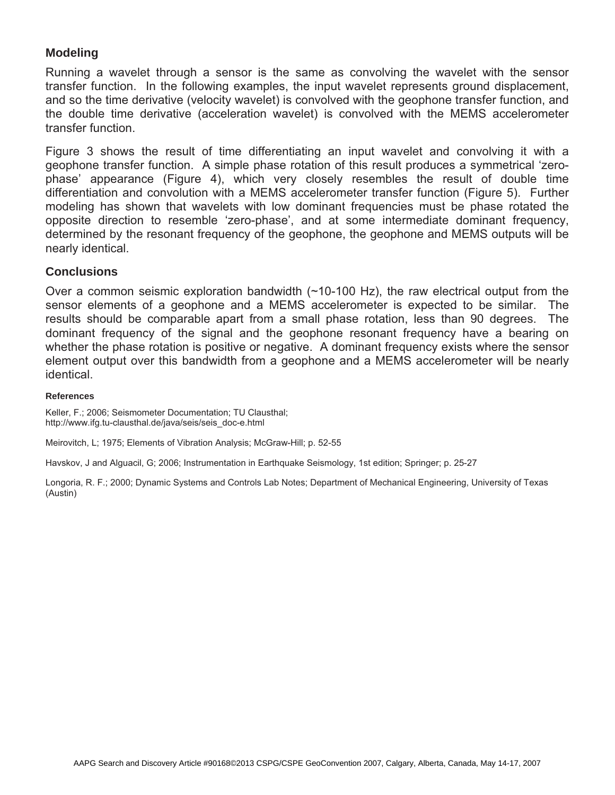## **Modeling**

Running a wavelet through a sensor is the same as convolving the wavelet with the sensor transfer function. In the following examples, the input wavelet represents ground displacement, and so the time derivative (velocity wavelet) is convolved with the geophone transfer function, and the double time derivative (acceleration wavelet) is convolved with the MEMS accelerometer transfer function.

Figure 3 shows the result of time differentiating an input wavelet and convolving it with a geophone transfer function. A simple phase rotation of this result produces a symmetrical 'zerophase' appearance (Figure 4), which very closely resembles the result of double time differentiation and convolution with a MEMS accelerometer transfer function (Figure 5). Further modeling has shown that wavelets with low dominant frequencies must be phase rotated the opposite direction to resemble 'zero-phase', and at some intermediate dominant frequency, determined by the resonant frequency of the geophone, the geophone and MEMS outputs will be nearly identical.

### **Conclusions**

Over a common seismic exploration bandwidth (~10-100 Hz), the raw electrical output from the sensor elements of a geophone and a MEMS accelerometer is expected to be similar. The results should be comparable apart from a small phase rotation, less than 90 degrees. The dominant frequency of the signal and the geophone resonant frequency have a bearing on whether the phase rotation is positive or negative. A dominant frequency exists where the sensor element output over this bandwidth from a geophone and a MEMS accelerometer will be nearly identical.

#### **References**

Keller, F.; 2006; Seismometer Documentation; TU Clausthal; http://www.ifg.tu-clausthal.de/java/seis/seis\_doc-e.html

Meirovitch, L; 1975; Elements of Vibration Analysis; McGraw-Hill; p. 52-55

Havskov, J and Alguacil, G; 2006; Instrumentation in Earthquake Seismology, 1st edition; Springer; p. 25-27

Longoria, R. F.; 2000; Dynamic Systems and Controls Lab Notes; Department of Mechanical Engineering, University of Texas (Austin)